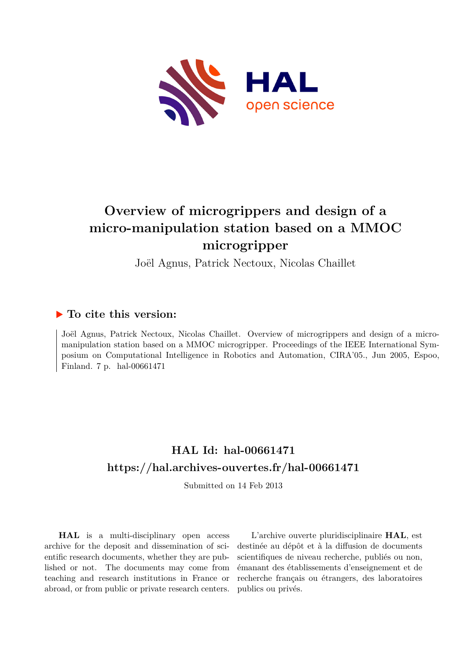

## **Overview of microgrippers and design of a micro-manipulation station based on a MMOC microgripper**

Joël Agnus, Patrick Nectoux, Nicolas Chaillet

### **To cite this version:**

Joël Agnus, Patrick Nectoux, Nicolas Chaillet. Overview of microgrippers and design of a micromanipulation station based on a MMOC microgripper. Proceedings of the IEEE International Symposium on Computational Intelligence in Robotics and Automation, CIRA'05., Jun 2005, Espoo, Finland. 7 p. hal-00661471

## **HAL Id: hal-00661471 <https://hal.archives-ouvertes.fr/hal-00661471>**

Submitted on 14 Feb 2013

**HAL** is a multi-disciplinary open access archive for the deposit and dissemination of scientific research documents, whether they are published or not. The documents may come from teaching and research institutions in France or abroad, or from public or private research centers.

L'archive ouverte pluridisciplinaire **HAL**, est destinée au dépôt et à la diffusion de documents scientifiques de niveau recherche, publiés ou non, émanant des établissements d'enseignement et de recherche français ou étrangers, des laboratoires publics ou privés.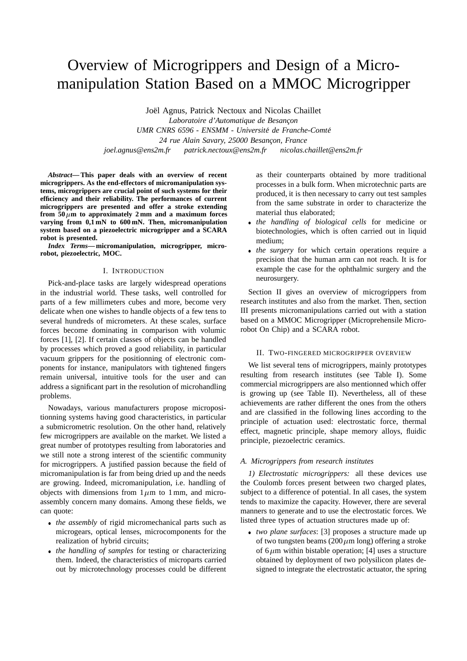# Overview of Microgrippers and Design of a Micromanipulation Station Based on a MMOC Microgripper

Joël Agnus, Patrick Nectoux and Nicolas Chaillet Laboratoire d'Automatique de Besançon *UMR CNRS 6596 - ENSMM - Université de Franche-Comté* 24 rue Alain Savary, 25000 Besançon, France *joel.agnus@ens2m.fr patrick.nectoux@ens2m.fr nicolas.chaillet@ens2m.fr*

*Abstract***— This paper deals with an overview of recent microgrippers. As the end-effectors of micromanipulation systems, microgrippers are crucial point of such systems for their efficiency and their reliability. The performances of current microgrippers are presented and offer a stroke extending** from  $50 \mu m$  to approximately 2 mm and a maximum forces **varying from 0,1 mN to 600 mN. Then, micromanipulation system based on a piezoelectric microgripper and a SCARA robot is presented.**

*Index Terms***— micromanipulation, microgripper, microrobot, piezoelectric, MOC.**

#### I. INTRODUCTION

Pick-and-place tasks are largely widespread operations in the industrial world. These tasks, well controlled for parts of a few millimeters cubes and more, become very delicate when one wishes to handle objects of a few tens to several hundreds of micrometers. At these scales, surface forces become dominating in comparison with volumic forces [1], [2]. If certain classes of objects can be handled by processes which proved a good reliability, in particular vacuum grippers for the positionning of electronic components for instance, manipulators with tightened fingers remain universal, intuitive tools for the user and can address a significant part in the resolution of microhandling problems.

Nowadays, various manufacturers propose micropositionning systems having good characteristics, in particular a submicrometric resolution. On the other hand, relatively few microgrippers are available on the market. We listed a great number of prototypes resulting from laboratories and we still note a strong interest of the scientific community for microgrippers. A justified passion because the field of micromanipulation is far from being dried up and the needs are growing. Indeed, micromanipulation, i.e. handling of objects with dimensions from  $1 \mu m$  to 1 mm, and microassembly concern many domains. Among these fields, we can quote:

- *the assembly* of rigid micromechanical parts such as microgears, optical lenses, microcomponents for the realization of hybrid circuits;
- *the handling of samples* for testing or characterizing them. Indeed, the characteristics of microparts carried out by microtechnology processes could be different

as their counterparts obtained by more traditional processes in a bulk form. When microtechnic parts are produced, it is then necessary to carry out test samples from the same substrate in order to characterize the material thus elaborated;

- *the handling of biological cells* for medicine or biotechnologies, which is often carried out in liquid medium;
- *the surgery* for which certain operations require a precision that the human arm can not reach. It is for example the case for the ophthalmic surgery and the neurosurgery.

Section II gives an overview of microgrippers from research institutes and also from the market. Then, section III presents micromanipulations carried out with a station based on a MMOC Microgripper (Microprehensile Microrobot On Chip) and a SCARA robot.

#### II. TWO-FINGERED MICROGRIPPER OVERVIEW

We list several tens of microgrippers, mainly prototypes resulting from research institutes (see Table I). Some commercial microgrippers are also mentionned which offer is growing up (see Table II). Nevertheless, all of these achievements are rather different the ones from the others and are classified in the following lines according to the principle of actuation used: electrostatic force, thermal effect, magnetic principle, shape memory alloys, fluidic principle, piezoelectric ceramics.

#### *A. Microgrippers from research institutes*

*1) Electrostatic microgrippers:* all these devices use the Coulomb forces present between two charged plates, subject to a difference of potential. In all cases, the system tends to maximize the capacity. However, there are several manners to generate and to use the electrostatic forces. We listed three types of actuation structures made up of:

 *two plane surfaces*: [3] proposes a structure made up of two tungsten beams (200  $\mu$ m long) offering a stroke of 6  $\mu$ m within bistable operation; [4] uses a structure obtained by deployment of two polysilicon plates designed to integrate the electrostatic actuator, the spring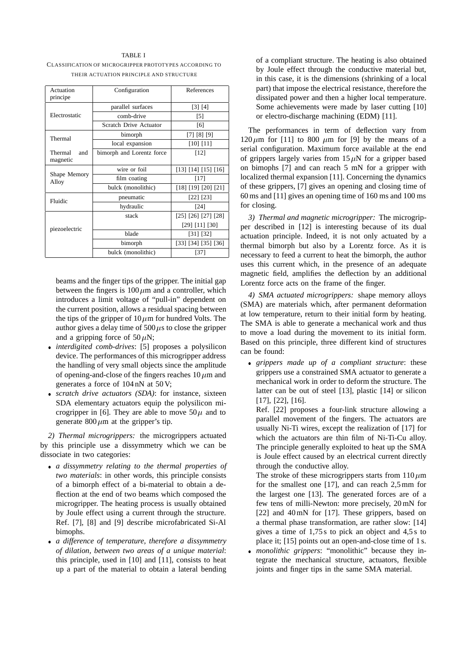TABLE I CLASSIFICATION OF MICROGRIPPER PROTOTYPES ACCORDING TO THEIR ACTUATION PRINCIPLE AND STRUCTURE

| Actuation<br>principe      | Configuration                 | References            |  |
|----------------------------|-------------------------------|-----------------------|--|
| Electrostatic              | parallel surfaces             | [3] [4]               |  |
|                            | comb-drive                    | [5]                   |  |
|                            | <b>Scratch Drive Actuator</b> | [6]                   |  |
| Thermal                    | bimorph                       | [7] [8] [9]           |  |
|                            | local expansion               | $[10]$ $[11]$         |  |
| Thermal<br>and<br>magnetic | bimorph and Lorentz force     | [12]                  |  |
| Shape Memory<br>Alloy      | wire or foil                  | [13] [14] [15] [16]   |  |
|                            | film coating                  | [17]                  |  |
|                            | bulck (monolithic)            | [18] [19] [20] [21]   |  |
| Fluidic                    | pneumatic                     | [22] [23]             |  |
|                            | hydraulic                     | [24]                  |  |
| piezoelectric              | stack                         | [25] [26] [27] [28]   |  |
|                            |                               | $[29]$ $[11]$ $[30]$  |  |
|                            | blade                         | [31] [32]             |  |
|                            | bimorph                       | $[33]$ [34] [35] [36] |  |
|                            | bulck (monolithic)            | [37]                  |  |

beams and the finger tips of the gripper. The initial gap between the fingers is  $100 \mu m$  and a controller, which introduces a limit voltage of "pull-in" dependent on the current position, allows a residual spacing between the tips of the gripper of  $10 \mu m$  for hundred Volts. The author gives a delay time of  $500 \mu s$  to close the gripper and a gripping force of  $50 \mu$ N;

- *interdigited comb-drives*: [5] proposes a polysilicon device. The performances of this microgripper address the handling of very small objects since the amplitude of opening-and-close of the fingers reaches  $10 \mu m$  and generates a force of 104 nN at 50 V;
- *scratch drive actuators (SDA)*: for instance, sixteen SDA elementary actuators equip the polysilicon microgripper in [6]. They are able to move  $50 \mu$  and to generate  $800 \mu m$  at the gripper's tip.

*2) Thermal microgrippers:* the microgrippers actuated by this principle use a dissymmetry which we can be dissociate in two categories:

- *a dissymmetry relating to the thermal properties of two materials*: in other words, this principle consists of a bimorph effect of a bi-material to obtain a deflection at the end of two beams which composed the microgripper. The heating process is usually obtained by Joule effect using a current through the structure. Ref. [7], [8] and [9] describe microfabricated Si-Al bimophs.
- *a difference of temperature, therefore a dissymmetry of dilation, between two areas of a unique material*: this principle, used in [10] and [11], consists to heat up a part of the material to obtain a lateral bending

of a compliant structure. The heating is also obtained by Joule effect through the conductive material but, in this case, it is the dimensions (shrinking of a local part) that impose the electrical resistance, therefore the dissipated power and then a higher local temperature. Some achievements were made by laser cutting [10] or electro-discharge machining (EDM) [11].

The performances in term of deflection vary from  $120 \mu m$  for [11] to 800  $\mu$ m for [9] by the means of a serial configuration. Maximum force available at the end of grippers largely varies from  $15 \mu N$  for a gripper based on bimophs [7] and can reach 5 mN for a gripper with localized thermal expansion [11]. Concerning the dynamics of these grippers, [7] gives an opening and closing time of 60 ms and [11] gives an opening time of 160 ms and 100 ms for closing.

*3) Thermal and magnetic microgripper:* The microgripper described in [12] is interesting because of its dual actuation principle. Indeed, it is not only actuated by a thermal bimorph but also by a Lorentz force. As it is necessary to feed a current to heat the bimorph, the author uses this current which, in the presence of an adequate magnetic field, amplifies the deflection by an additional Lorentz force acts on the frame of the finger.

*4) SMA actuated microgrippers:* shape memory alloys (SMA) are materials which, after permanent deformation at low temperature, return to their initial form by heating. The SMA is able to generate a mechanical work and thus to move a load during the movement to its initial form. Based on this principle, three different kind of structures can be found:

 *grippers made up of a compliant structure*: these grippers use a constrained SMA actuator to generate a mechanical work in order to deform the structure. The latter can be out of steel [13], plastic [14] or silicon [17], [22], [16].

Ref. [22] proposes a four-link structure allowing a parallel movement of the fingers. The actuators are usually Ni-Ti wires, except the realization of [17] for which the actuators are thin film of Ni-Ti-Cu alloy. The principle generally exploited to heat up the SMA is Joule effect caused by an electrical current directly through the conductive alloy.

The stroke of these microgrippers starts from  $110 \mu m$ for the smallest one [17], and can reach 2,5 mm for the largest one [13]. The generated forces are of a few tens of milli-Newton: more precisely, 20 mN for [22] and 40 mN for [17]. These grippers, based on a thermal phase transformation, are rather slow: [14] gives a time of 1,75 s to pick an object and 4,5 s to place it; [15] points out an open-and-close time of 1 s.

 *monolithic grippers*: "monolithic" because they integrate the mechanical structure, actuators, flexible joints and finger tips in the same SMA material.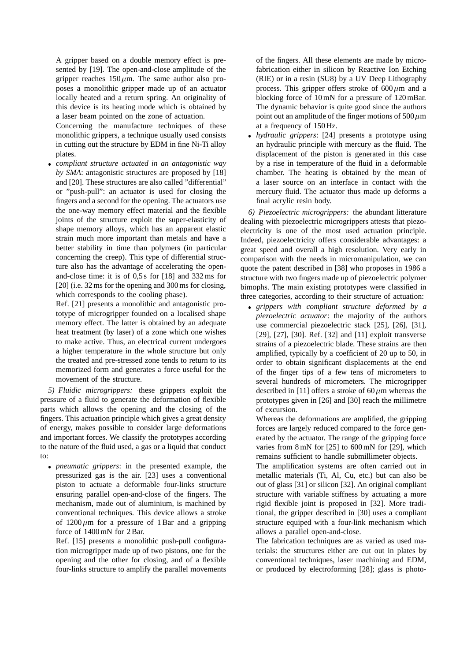A gripper based on a double memory effect is presented by [19]. The open-and-close amplitude of the gripper reaches  $150 \mu m$ . The same author also proposes a monolithic gripper made up of an actuator locally heated and a return spring. An originality of this device is its heating mode which is obtained by a laser beam pointed on the zone of actuation.

Concerning the manufacture techniques of these monolithic grippers, a technique usually used consists in cutting out the structure by EDM in fine Ni-Ti alloy plates.

 *compliant structure actuated in an antagonistic way by SMA*: antagonistic structures are proposed by [18] and [20]. These structures are also called "differential" or "push-pull": an actuator is used for closing the fingers and a second for the opening. The actuators use the one-way memory effect material and the flexible joints of the structure exploit the super-elasticity of shape memory alloys, which has an apparent elastic strain much more important than metals and have a better stability in time than polymers (in particular concerning the creep). This type of differential structure also has the advantage of accelerating the openand-close time: it is of 0,5 s for [18] and 332 ms for [20] (i.e. 32 ms for the opening and 300 ms for closing, which corresponds to the cooling phase).

Ref. [21] presents a monolithic and antagonistic prototype of microgripper founded on a localised shape memory effect. The latter is obtained by an adequate heat treatment (by laser) of a zone which one wishes to make active. Thus, an electrical current undergoes a higher temperature in the whole structure but only the treated and pre-stressed zone tends to return to its memorized form and generates a force useful for the movement of the structure.

*5) Fluidic microgrippers:* these grippers exploit the pressure of a fluid to generate the deformation of flexible parts which allows the opening and the closing of the fingers. This actuation principle which gives a great density of energy, makes possible to consider large deformations and important forces. We classify the prototypes according to the nature of the fluid used, a gas or a liquid that conduct to:

 *pneumatic grippers*: in the presented example, the pressurized gas is the air. [23] uses a conventional piston to actuate a deformable four-links structure ensuring parallel open-and-close of the fingers. The mechanism, made out of aluminium, is machined by conventional techniques. This device allows a stroke of  $1200 \mu m$  for a pressure of 1 Bar and a gripping force of 1400 mN for 2 Bar.

Ref. [15] presents a monolithic push-pull configuration microgripper made up of two pistons, one for the opening and the other for closing, and of a flexible four-links structure to amplify the parallel movements of the fingers. All these elements are made by microfabrication either in silicon by Reactive Ion Etching (RIE) or in a resin (SU8) by a UV Deep Lithography process. This gripper offers stroke of  $600 \mu m$  and a blocking force of 10 mN for a pressure of 120 mBar. The dynamic behavior is quite good since the authors point out an amplitude of the finger motions of 500  $\mu$ m at a frequency of 150 Hz.

 *hydraulic grippers*: [24] presents a prototype using an hydraulic principle with mercury as the fluid. The displacement of the piston is generated in this case by a rise in temperature of the fluid in a deformable chamber. The heating is obtained by the mean of a laser source on an interface in contact with the mercury fluid. The actuator thus made up deforms a final acrylic resin body.

*6) Piezoelectric microgrippers:* the abundant litterature dealing with piezoelectric microgrippers attests that piezoelectricity is one of the most used actuation principle. Indeed, piezoelectricity offers considerable advantages: a great speed and overall a high resolution. Very early in comparison with the needs in micromanipulation, we can quote the patent described in [38] who proposes in 1986 a structure with two fingers made up of piezoelectric polymer bimophs. The main existing prototypes were classified in three categories, according to their structure of actuation:

 *grippers with compliant structure deformed by a piezoelectric actuator*: the majority of the authors use commercial piezoelectric stack [25], [26], [31], [29], [27], [30]. Ref. [32] and [11] exploit transverse strains of a piezoelectric blade. These strains are then amplified, typically by a coefficient of 20 up to 50, in order to obtain significant displacements at the end of the finger tips of a few tens of micrometers to several hundreds of micrometers. The microgripper described in [11] offers a stroke of 60  $\mu$ m whereas the prototypes given in [26] and [30] reach the millimetre of excursion.

Whereas the deformations are amplified, the gripping forces are largely reduced compared to the force generated by the actuator. The range of the gripping force varies from 8 mN for [25] to 600 mN for [29], which remains sufficient to handle submillimeter objects.

The amplification systems are often carried out in metallic materials (Ti, Al, Cu, etc.) but can also be out of glass [31] or silicon [32]. An original compliant structure with variable stiffness by actuating a more rigid flexible joint is proposed in [32]. More traditional, the gripper described in [30] uses a compliant structure equiped with a four-link mechanism which allows a parallel open-and-close.

The fabrication techniques are as varied as used materials: the structures either are cut out in plates by conventional techniques, laser machining and EDM, or produced by electroforming [28]; glass is photo-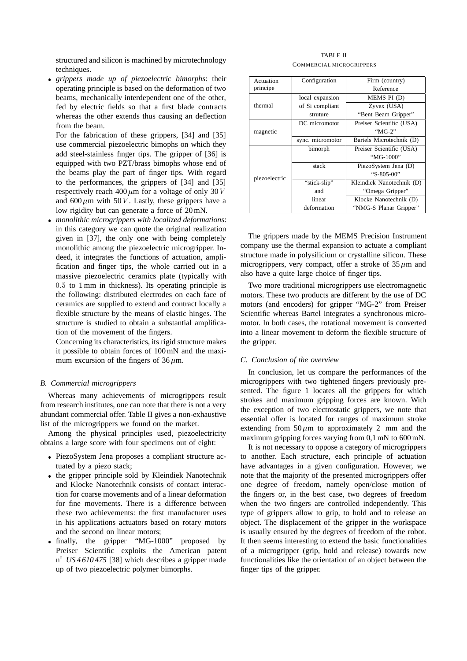structured and silicon is machined by microtechnology techniques.

 *grippers made up of piezoelectric bimorphs*: their operating principle is based on the deformation of two beams, mechanically interdependent one of the other, fed by electric fields so that a first blade contracts whereas the other extends thus causing an deflection from the beam.

For the fabrication of these grippers, [34] and [35] use commercial piezoelectric bimophs on which they add steel-stainless finger tips. The gripper of [36] is equipped with two PZT/brass bimophs whose end of the beams play the part of finger tips. With regard to the performances, the grippers of [34] and [35] respectively reach 400  $\mu$ m for a voltage of only 30  $V$ and  $600 \mu m$  with  $50 V$ . Lastly, these grippers have a low rigidity but can generate a force of 20 mN.

 *monolithic microgrippers with localized deformations*: in this category we can quote the original realization given in [37], the only one with being completely monolithic among the piezoelectric microgripper. Indeed, it integrates the functions of actuation, amplification and finger tips, the whole carried out in a massive piezoelectric ceramics plate (typically with 0.5 to 1 mm in thickness). Its operating principle is the following: distributed electrodes on each face of ceramics are supplied to extend and contract locally a flexible structure by the means of elastic hinges. The structure is studied to obtain a substantial amplification of the movement of the fingers.

Concerning its characteristics, its rigid structure makes it possible to obtain forces of 100 mN and the maximum excursion of the fingers of  $36 \mu$ m.

#### *B. Commercial microgrippers*

Whereas many achievements of microgrippers result from research institutes, one can note that there is not a very abundant commercial offer. Table II gives a non-exhaustive list of the microgrippers we found on the market.

Among the physical principles used, piezoelectricity obtains a large score with four specimens out of eight:

- PiezoSystem Jena proposes a compliant structure actuated by a piezo stack;
- the gripper principle sold by Kleindiek Nanotechnik and Klocke Nanotechnik consists of contact interaction for coarse movements and of a linear deformation for fine movements. There is a difference between these two achievements: the first manufacturer uses in his applications actuators based on rotary motors and the second on linear motors;
- finally, the gripper "MG-1000" proposed by Preiser Scientific exploits the American patent n<sup>o</sup> US 4 610 475 [38] which describes a gripper made up of two piezoelectric polymer bimorphs.

| <b>TABLE II</b>          |  |  |  |
|--------------------------|--|--|--|
| COMMERCIAL MICROGRIPPERS |  |  |  |

| Actuation     | Configuration    | Firm (country)            |
|---------------|------------------|---------------------------|
| principe      |                  | Reference                 |
| thermal       | local expansion  | MEMS PI (D)               |
|               | of Si compliant  | Zyvex (USA)               |
|               | struture         | "Bent Beam Gripper"       |
| magnetic      | DC micromotor    | Preiser Scientific (USA)  |
|               |                  | $MG-2"$                   |
|               | sync. micromotor | Bartels Microtechnik (D)  |
| piezoelectric | bimorph          | Preiser Scientific (USA)  |
|               |                  | "MG-1000"                 |
|               | stack            | PiezoSystem Jena (D)      |
|               |                  | $``S-805-00"$             |
|               | "stick-slip"     | Kleindiek Nanotechnik (D) |
|               | and              | "Omega Gripper"           |
|               | linear           | Klocke Nanotechnik (D)    |
|               | deformation      | "NMG-S Planar Gripper"    |

The grippers made by the MEMS Precision Instrument company use the thermal expansion to actuate a compliant structure made in polysilicium or crystalline silicon. These microgrippers, very compact, offer a stroke of  $35 \mu m$  and also have a quite large choice of finger tips.

Two more traditional microgrippers use electromagnetic motors. These two products are different by the use of DC motors (and encoders) for gripper "MG-2" from Preiser Scientific whereas Bartel integrates a synchronous micromotor. In both cases, the rotational movement is converted into a linear movement to deform the flexible structure of the gripper.

#### *C. Conclusion of the overview*

In conclusion, let us compare the performances of the microgrippers with two tightened fingers previously presented. The figure 1 locates all the grippers for which strokes and maximum gripping forces are known. With the exception of two electrostatic grippers, we note that essential offer is located for ranges of maximum stroke extending from  $50 \mu m$  to approximately 2 mm and the maximum gripping forces varying from 0,1 mN to 600 mN.

It is not necessary to oppose a category of microgrippers to another. Each structure, each principle of actuation have advantages in a given configuration. However, we note that the majority of the presented microgrippers offer one degree of freedom, namely open/close motion of the fingers or, in the best case, two degrees of freedom when the two fingers are controlled independently. This type of grippers allow to grip, to hold and to release an object. The displacement of the gripper in the workspace is usually ensured by the degrees of freedom of the robot. It then seems interesting to extend the basic functionalities of a microgripper (grip, hold and release) towards new functionalities like the orientation of an object between the finger tips of the gripper.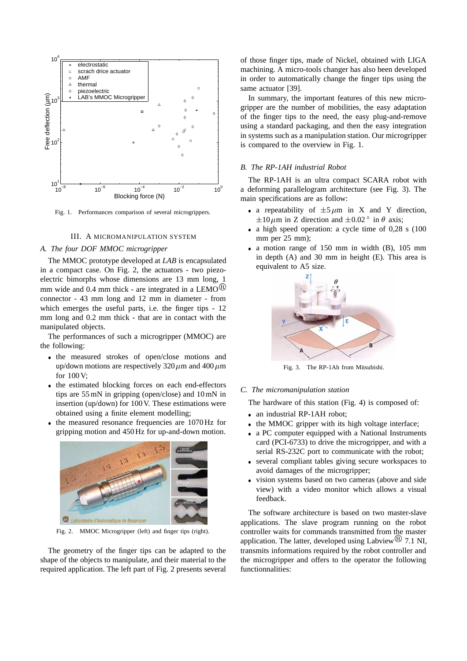

Fig. 1. Performances comparison of several microgrippers.

#### III. A MICROMANIPULATION SYSTEM

#### *A. The four DOF MMOC microgripper*

The MMOC prototype developed at *LAB* is encapsulated in a compact case. On Fig. 2, the actuators - two piezoelectric bimorphs whose dimensions are 13 mm long, 1 mm wide and 0.4 mm thick - are integrated in a LEMO $^{\circledR}$ connector - 43 mm long and 12 mm in diameter - from which emerges the useful parts, i.e. the finger tips - 12 mm long and 0.2 mm thick - that are in contact with the manipulated objects.

The performances of such a microgripper (MMOC) are the following:

- the measured strokes of open/close motions and up/down motions are respectively 320  $\mu$ m and 400  $\mu$ m for 100 V;
- the estimated blocking forces on each end-effectors tips are 55 mN in gripping (open/close) and 10 mN in insertion (up/down) for 100 V. These estimations were obtained using a finite element modelling;
- the measured resonance frequencies are 1070 Hz for gripping motion and 450 Hz for up-and-down motion.



Fig. 2. MMOC Microgripper (left) and finger tips (right).

The geometry of the finger tips can be adapted to the shape of the objects to manipulate, and their material to the required application. The left part of Fig. 2 presents several of those finger tips, made of Nickel, obtained with LIGA machining. A micro-tools changer has also been developed in order to automatically change the finger tips using the same actuator [39].

In summary, the important features of this new microgripper are the number of mobilities, the easy adaptation of the finger tips to the need, the easy plug-and-remove using a standard packaging, and then the easy integration in systems such as a manipulation station. Our microgripper is compared to the overview in Fig. 1.

#### *B. The RP-1AH industrial Robot*

The RP-1AH is an ultra compact SCARA robot with a deforming parallelogram architecture (see Fig. 3). The main specifications are as follow:

- a repeatability of  $\pm 5 \mu m$  in X and Y direction,  $\pm 10 \,\mu \text{m}$  in Z direction and  $\pm 0.02$  ° in  $\theta$  axis;
- a high speed operation: a cycle time of 0,28 s (100 mm per 25 mm):
- a motion range of 150 mm in width (B), 105 mm in depth (A) and 30 mm in height (E). This area is equivalent to A5 size.



Fig. 3. The RP-1Ah from Mitsubishi.

*C. The micromanipulation station*

The hardware of this station (Fig. 4) is composed of:

- an industrial RP-1AH robot;
- the MMOC gripper with its high voltage interface;
- a PC computer equipped with a National Instruments card (PCI-6733) to drive the microgripper, and with a serial RS-232C port to communicate with the robot;
- several compliant tables giving secure workspaces to avoid damages of the microgripper;
- vision systems based on two cameras (above and side view) with a video monitor which allows a visual feedback.

The software architecture is based on two master-slave applications. The slave program running on the robot controller waits for commands transmitted from the master application. The latter, developed using Labview  $\mathbb{R}$  7.1 NI, transmits informations required by the robot controller and the microgripper and offers to the operator the following functionnalities: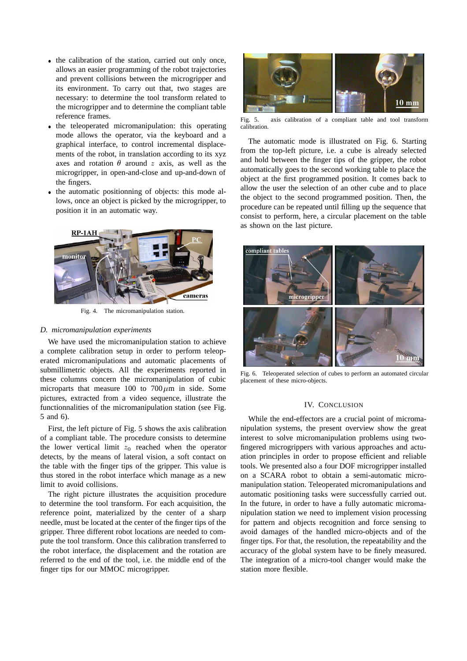- the calibration of the station, carried out only once, allows an easier programming of the robot trajectories and prevent collisions between the microgripper and its environment. To carry out that, two stages are necessary: to determine the tool transform related to the microgripper and to determine the compliant table reference frames.
- the teleoperated micromanipulation: this operating mode allows the operator, via the keyboard and a graphical interface, to control incremental displacements of the robot, in translation according to its xyz axes and rotation  $\theta$  around z axis, as well as the microgripper, in open-and-close and up-and-down of the fingers.
- the automatic positionning of objects: this mode allows, once an object is picked by the microgripper, to position it in an automatic way.



Fig. 4. The micromanipulation station.

#### *D. micromanipulation experiments*

We have used the micromanipulation station to achieve a complete calibration setup in order to perform teleoperated micromanipulations and automatic placements of submillimetric objects. All the experiments reported in these columns concern the micromanipulation of cubic microparts that measure 100 to 700  $\mu$ m in side. Some pictures, extracted from a video sequence, illustrate the functionnalities of the micromanipulation station (see Fig. 5 and 6).

First, the left picture of Fig. 5 shows the axis calibration of a compliant table. The procedure consists to determine the lower vertical limit  $z_0$  reached when the operator detects, by the means of lateral vision, a soft contact on the table with the finger tips of the gripper. This value is thus stored in the robot interface which manage as a new limit to avoid collisions.

The right picture illustrates the acquisition procedure to determine the tool transform. For each acquisition, the reference point, materialized by the center of a sharp needle, must be located at the center of the finger tips of the gripper. Three different robot locations are needed to compute the tool transform. Once this calibration transferred to the robot interface, the displacement and the rotation are referred to the end of the tool, i.e. the middle end of the finger tips for our MMOC microgripper.



Fig. 5. axis calibration of a compliant table and tool transform calibration.

The automatic mode is illustrated on Fig. 6. Starting from the top-left picture, i.e. a cube is already selected and hold between the finger tips of the gripper, the robot automatically goes to the second working table to place the object at the first programmed position. It comes back to allow the user the selection of an other cube and to place the object to the second programmed position. Then, the procedure can be repeated until filling up the sequence that consist to perform, here, a circular placement on the table as shown on the last picture.



Fig. 6. Teleoperated selection of cubes to perform an automated circular placement of these micro-objects.

#### IV. CONCLUSION

While the end-effectors are a crucial point of micromanipulation systems, the present overview show the great interest to solve micromanipulation problems using twofingered microgrippers with various approaches and actuation principles in order to propose efficient and reliable tools. We presented also a four DOF microgripper installed on a SCARA robot to obtain a semi-automatic micromanipulation station. Teleoperated micromanipulations and automatic positioning tasks were successfully carried out. In the future, in order to have a fully automatic micromanipulation station we need to implement vision processing for pattern and objects recognition and force sensing to avoid damages of the handled micro-objects and of the finger tips. For that, the resolution, the repeatability and the accuracy of the global system have to be finely measured. The integration of a micro-tool changer would make the station more flexible.